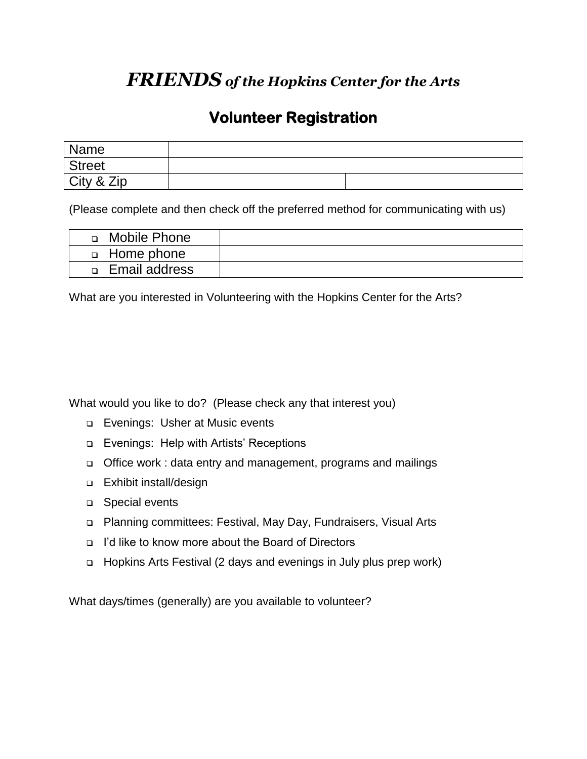## *FRIENDS of the Hopkins Center for the Arts*

## **Volunteer Registration**

| Name          |  |
|---------------|--|
| <b>Street</b> |  |
| City & Zip    |  |

(Please complete and then check off the preferred method for communicating with us)

| Mobile Phone         |  |
|----------------------|--|
| <b>d</b> Home phone  |  |
| <b>Email address</b> |  |

What are you interested in Volunteering with the Hopkins Center for the Arts?

What would you like to do? (Please check any that interest you)

- **Evenings: Usher at Music events**
- Evenings: Help with Artists' Receptions
- Office work : data entry and management, programs and mailings
- Exhibit install/design
- □ Special events
- Planning committees: Festival, May Day, Fundraisers, Visual Arts
- I'd like to know more about the Board of Directors
- □ Hopkins Arts Festival (2 days and evenings in July plus prep work)

What days/times (generally) are you available to volunteer?